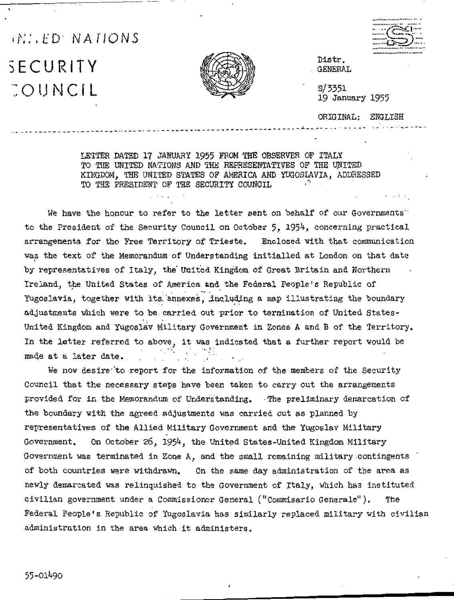## W. ED NATIONS

SECURITY COUNCIL



Distr. GENERAL

 $S/3351$ 19 January 1955

ORIGINAL: ENGLISH

LETTER DATED 17 JANUARY 1955 FROM THE OBSERVER OF ITALY TO THE UNITED NATIONS AND THE REPRESENTATIVES OF THE UNITED KINGDOM. THE UNITED STATES OF AMERICA AND YUGOSLAVIA, ADDRESSED TO THE PRESIDENT OF THE SECURITY COUNCIL

We have the honour to refer to the letter sent on behalf of our Governments to the President of the Security Council on October 5, 1954, concerning practical arrangements for the Free Territory of Trieste. Enclosed with that communication was the text of the Memorandum of Understanding initialled at London on that date by representatives of Italy, the United Kingdom of Great Britain and Northern Ireland, the United States of America and the Federal People's Republic of Yugoslavia, together with its annexes, including a map illustrating the boundary adjustments which were to be carried out prior to termination of United States-United Kingdom and Yugoslav Military Government in Zones A and B of the Territory. In the letter referred to above, it was indicated that a further report would be made at a later date.

We now desire to report for the information of the members of the Security Council that the necessary steps have been taken to carry out the arrangements provided for in the Memorandum of Understanding. The preliminary demarcation of the boundary with the agreed adjustments was carried out as planned by representatives of the Allied Military Government and the Yugoslav Military Government. On October 26, 1954, the United States-United Kingdom Military Government was terminated in Zone A, and the small remaining military contingents of both countries were withdrawn. On the same day administration of the area as newly demarcated was relinquished to the Government of Italy, which has instituted civilian government under a Commissioner General ("Commisario Generale"). Federal People's Republic of Yugoslavia has similarly replaced military with civilian administration in the area which it administers.